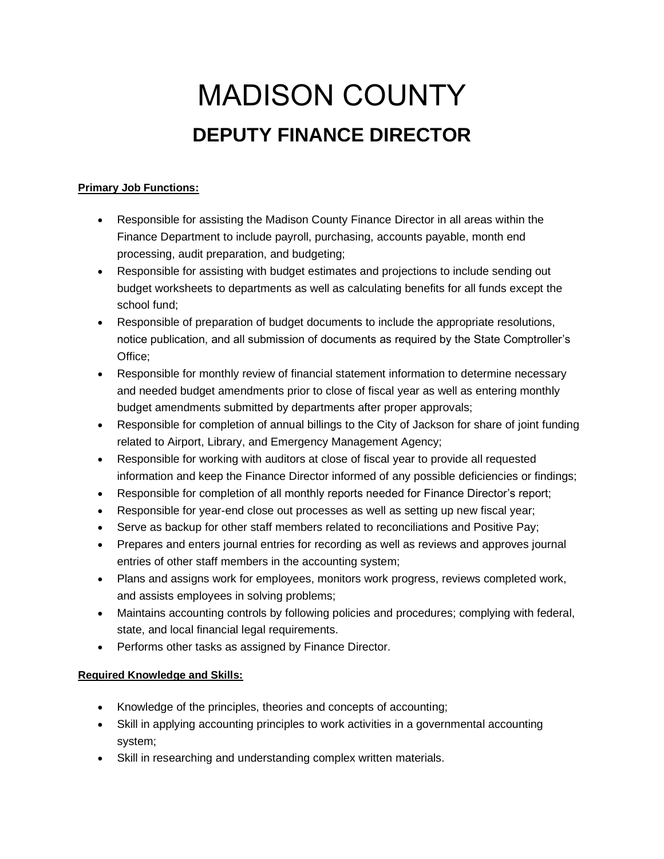## MADISON COUNTY **DEPUTY FINANCE DIRECTOR**

## **Primary Job Functions:**

- Responsible for assisting the Madison County Finance Director in all areas within the Finance Department to include payroll, purchasing, accounts payable, month end processing, audit preparation, and budgeting;
- Responsible for assisting with budget estimates and projections to include sending out budget worksheets to departments as well as calculating benefits for all funds except the school fund;
- Responsible of preparation of budget documents to include the appropriate resolutions, notice publication, and all submission of documents as required by the State Comptroller's Office;
- Responsible for monthly review of financial statement information to determine necessary and needed budget amendments prior to close of fiscal year as well as entering monthly budget amendments submitted by departments after proper approvals;
- Responsible for completion of annual billings to the City of Jackson for share of joint funding related to Airport, Library, and Emergency Management Agency;
- Responsible for working with auditors at close of fiscal year to provide all requested information and keep the Finance Director informed of any possible deficiencies or findings;
- Responsible for completion of all monthly reports needed for Finance Director's report;
- Responsible for year-end close out processes as well as setting up new fiscal year;
- Serve as backup for other staff members related to reconciliations and Positive Pay;
- Prepares and enters journal entries for recording as well as reviews and approves journal entries of other staff members in the accounting system;
- Plans and assigns work for employees, monitors work progress, reviews completed work, and assists employees in solving problems;
- Maintains accounting controls by following policies and procedures; complying with federal, state, and local financial legal requirements.
- Performs other tasks as assigned by Finance Director.

## **Required Knowledge and Skills:**

- Knowledge of the principles, theories and concepts of accounting;
- Skill in applying accounting principles to work activities in a governmental accounting system;
- Skill in researching and understanding complex written materials.